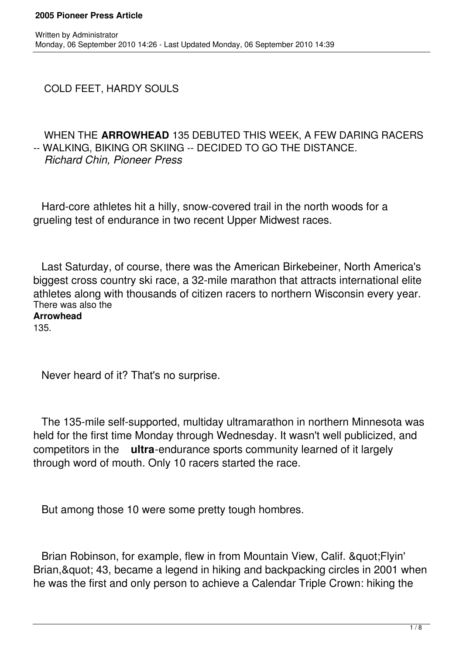COLD FEET, HARDY SOULS

# WHEN THE **ARROWHEAD** 135 DEBUTED THIS WEEK, A FEW DARING RACERS -- WALKING, BIKING OR SKIING -- DECIDED TO GO THE DISTANCE. *Richard Chin, Pioneer Press*

 Hard-core athletes hit a hilly, snow-covered trail in the north woods for a grueling test of endurance in two recent Upper Midwest races.

 Last Saturday, of course, there was the American Birkebeiner, North America's biggest cross country ski race, a 32-mile marathon that attracts international elite athletes along with thousands of citizen racers to northern Wisconsin every year. There was also the

# **Arrowhead**

135.

Never heard of it? That's no surprise.

 The 135-mile self-supported, multiday ultramarathon in northern Minnesota was held for the first time Monday through Wednesday. It wasn't well publicized, and competitors in the **ultra**-endurance sports community learned of it largely through word of mouth. Only 10 racers started the race.

But among those 10 were some pretty tough hombres.

Brian Robinson, for example, flew in from Mountain View, Calif. & quot; Flyin' Brian, & quot; 43, became a legend in hiking and backpacking circles in 2001 when he was the first and only person to achieve a Calendar Triple Crown: hiking the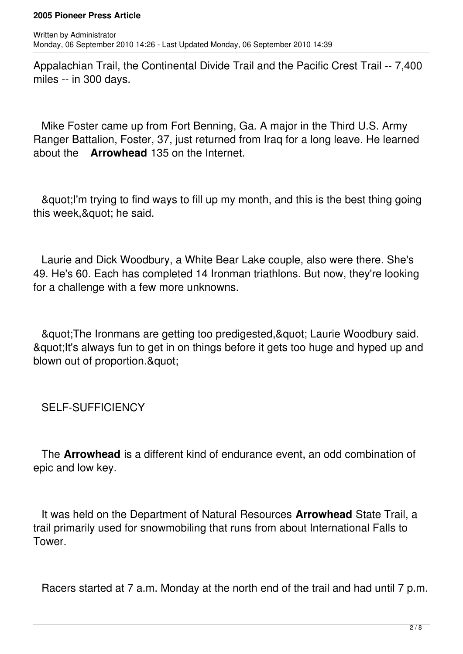Appalachian Trail, the Continental Divide Trail and the Pacific Crest Trail -- 7,400 miles -- in 300 days.

 Mike Foster came up from Fort Benning, Ga. A major in the Third U.S. Army Ranger Battalion, Foster, 37, just returned from Iraq for a long leave. He learned about the **Arrowhead** 135 on the Internet.

 "I'm trying to find ways to fill up my month, and this is the best thing going this week, & quot; he said.

 Laurie and Dick Woodbury, a White Bear Lake couple, also were there. She's 49. He's 60. Each has completed 14 Ironman triathlons. But now, they're looking for a challenge with a few more unknowns.

& auot; The Ironmans are getting too predigested, & quot; Laurie Woodbury said. & guot; It's always fun to get in on things before it gets too huge and hyped up and blown out of proportion. & quot:

SELF-SUFFICIENCY

 The **Arrowhead** is a different kind of endurance event, an odd combination of epic and low key.

 It was held on the Department of Natural Resources **Arrowhead** State Trail, a trail primarily used for snowmobiling that runs from about International Falls to Tower.

Racers started at 7 a.m. Monday at the north end of the trail and had until 7 p.m.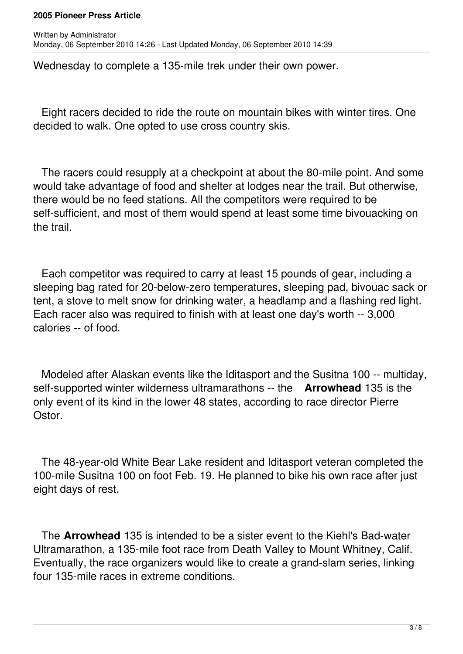Wednesday to complete a 135-mile trek under their own power.

 Eight racers decided to ride the route on mountain bikes with winter tires. One decided to walk. One opted to use cross country skis.

 The racers could resupply at a checkpoint at about the 80-mile point. And some would take advantage of food and shelter at lodges near the trail. But otherwise, there would be no feed stations. All the competitors were required to be self-sufficient, and most of them would spend at least some time bivouacking on the trail.

 Each competitor was required to carry at least 15 pounds of gear, including a sleeping bag rated for 20-below-zero temperatures, sleeping pad, bivouac sack or tent, a stove to melt snow for drinking water, a headlamp and a flashing red light. Each racer also was required to finish with at least one day's worth -- 3,000 calories -- of food.

 Modeled after Alaskan events like the Iditasport and the Susitna 100 -- multiday, self-supported winter wilderness ultramarathons -- the **Arrowhead** 135 is the only event of its kind in the lower 48 states, according to race director Pierre Ostor.

 The 48-year-old White Bear Lake resident and Iditasport veteran completed the 100-mile Susitna 100 on foot Feb. 19. He planned to bike his own race after just eight days of rest.

 The **Arrowhead** 135 is intended to be a sister event to the Kiehl's Bad-water Ultramarathon, a 135-mile foot race from Death Valley to Mount Whitney, Calif. Eventually, the race organizers would like to create a grand-slam series, linking four 135-mile races in extreme conditions.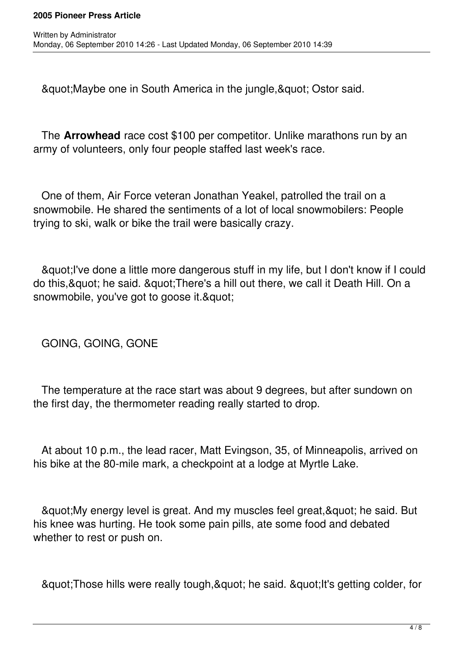"Maybe one in South America in the jungle," Ostor said.

 The **Arrowhead** race cost \$100 per competitor. Unlike marathons run by an army of volunteers, only four people staffed last week's race.

 One of them, Air Force veteran Jonathan Yeakel, patrolled the trail on a snowmobile. He shared the sentiments of a lot of local snowmobilers: People trying to ski, walk or bike the trail were basically crazy.

& quot; I've done a little more dangerous stuff in my life, but I don't know if I could do this, & quot; he said. & quot; There's a hill out there, we call it Death Hill. On a snowmobile, you've got to goose it. & quot;

GOING, GOING, GONE

 The temperature at the race start was about 9 degrees, but after sundown on the first day, the thermometer reading really started to drop.

 At about 10 p.m., the lead racer, Matt Evingson, 35, of Minneapolis, arrived on his bike at the 80-mile mark, a checkpoint at a lodge at Myrtle Lake.

& auot; My energy level is great. And my muscles feel great, & quot; he said. But his knee was hurting. He took some pain pills, ate some food and debated whether to rest or push on.

& guot; Those hills were really tough, & quot; he said. & quot; It's getting colder, for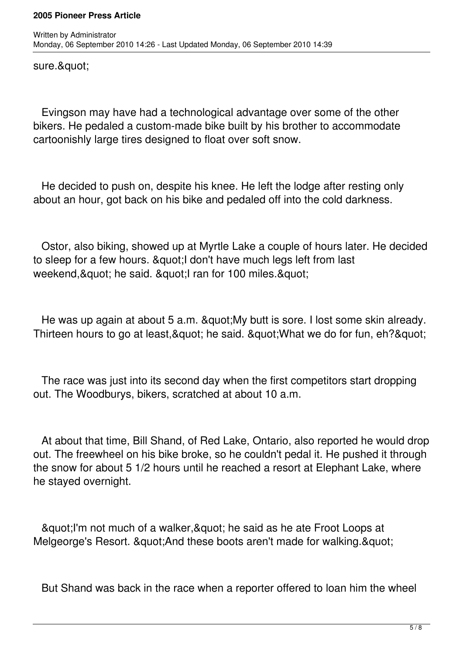sure.&quot:

 Evingson may have had a technological advantage over some of the other bikers. He pedaled a custom-made bike built by his brother to accommodate cartoonishly large tires designed to float over soft snow.

 He decided to push on, despite his knee. He left the lodge after resting only about an hour, got back on his bike and pedaled off into the cold darkness.

 Ostor, also biking, showed up at Myrtle Lake a couple of hours later. He decided to sleep for a few hours. & quot: I don't have much legs left from last weekend, & quot; he said. & quot; I ran for 100 miles. & quot;

He was up again at about 5 a.m. & quot; My butt is sore. I lost some skin already. Thirteen hours to go at least, & quot; he said. & quot; What we do for fun, eh? & quot;

 The race was just into its second day when the first competitors start dropping out. The Woodburys, bikers, scratched at about 10 a.m.

 At about that time, Bill Shand, of Red Lake, Ontario, also reported he would drop out. The freewheel on his bike broke, so he couldn't pedal it. He pushed it through the snow for about 5 1/2 hours until he reached a resort at Elephant Lake, where he stayed overnight.

& auot; I'm not much of a walker, & quot; he said as he ate Froot Loops at Melgeorge's Resort. & quot; And these boots aren't made for walking. & quot;

But Shand was back in the race when a reporter offered to loan him the wheel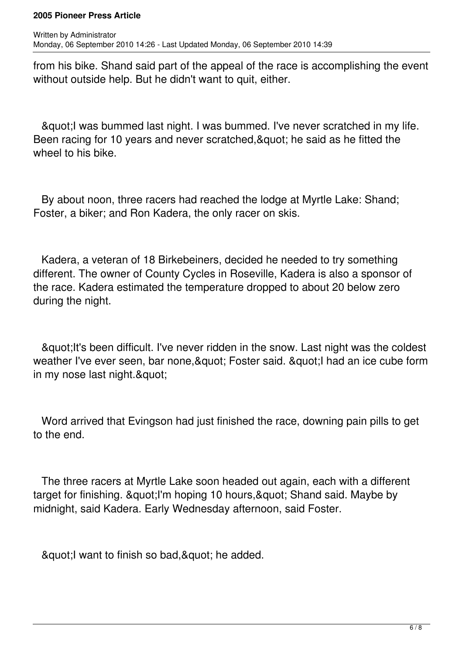from his bike. Shand said part of the appeal of the race is accomplishing the event without outside help. But he didn't want to quit, either.

& au ot; I was bummed last night. I was bummed. I've never scratched in my life. Been racing for 10 years and never scratched, & quot; he said as he fitted the wheel to his bike.

 By about noon, three racers had reached the lodge at Myrtle Lake: Shand; Foster, a biker; and Ron Kadera, the only racer on skis.

 Kadera, a veteran of 18 Birkebeiners, decided he needed to try something different. The owner of County Cycles in Roseville, Kadera is also a sponsor of the race. Kadera estimated the temperature dropped to about 20 below zero during the night.

& quot; It's been difficult. I've never ridden in the snow. Last night was the coldest weather I've ever seen, bar none, & quot: Foster said, & quot: I had an ice cube form in my nose last night. & quot;

 Word arrived that Evingson had just finished the race, downing pain pills to get to the end.

 The three racers at Myrtle Lake soon headed out again, each with a different target for finishing. & guot; I'm hoping 10 hours, & guot; Shand said. Maybe by midnight, said Kadera. Early Wednesday afternoon, said Foster.

& aupt; I want to finish so bad, & quot; he added.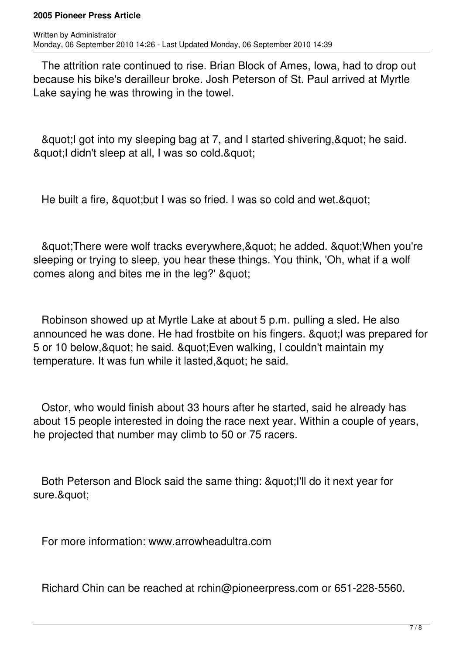The attrition rate continued to rise. Brian Block of Ames, Iowa, had to drop out because his bike's derailleur broke. Josh Peterson of St. Paul arrived at Myrtle Lake saying he was throwing in the towel.

& au ot into my sleeping bag at 7, and I started shivering, & quot; he said. & quot; I didn't sleep at all, I was so cold. & quot;

He built a fire, & au ot: but I was so fried. I was so cold and wet. & quot:

& guot; There were wolf tracks everywhere, & quot; he added. & quot; When you're sleeping or trying to sleep, you hear these things. You think, 'Oh, what if a wolf comes along and bites me in the leg?' & quot;

 Robinson showed up at Myrtle Lake at about 5 p.m. pulling a sled. He also announced he was done. He had frostbite on his fingers. & quot; I was prepared for 5 or 10 below, & quot; he said. & quot; Even walking, I couldn't maintain my temperature. It was fun while it lasted, & quot: he said.

 Ostor, who would finish about 33 hours after he started, said he already has about 15 people interested in doing the race next year. Within a couple of years, he projected that number may climb to 50 or 75 racers.

Both Peterson and Block said the same thing: & quot; I'll do it next year for sure."

For more information: www.arrowheadultra.com

Richard Chin can be reached at rchin@pioneerpress.com or 651-228-5560.